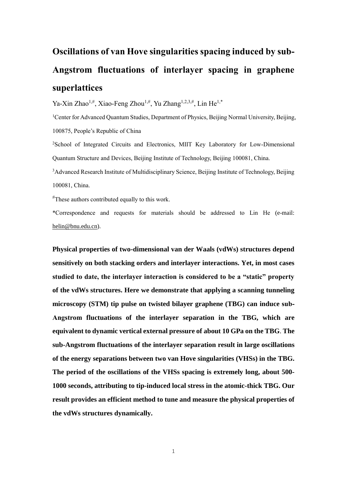## **Oscillations of van Hove singularities spacing induced by sub-Angstrom fluctuations of interlayer spacing in graphene superlattices**

Ya-Xin Zhao<sup>1,#</sup>, Xiao-Feng Zhou<sup>1,#</sup>, Yu Zhang<sup>1,2,3,#</sup>, Lin He<sup>1,\*</sup>

<sup>1</sup>Center for Advanced Quantum Studies, Department of Physics, Beijing Normal University, Beijing, 100875, People's Republic of China

<sup>2</sup>School of Integrated Circuits and Electronics, MIIT Key Laboratory for Low-Dimensional Quantum Structure and Devices, Beijing Institute of Technology, Beijing 100081, China.

<sup>3</sup>Advanced Research Institute of Multidisciplinary Science, Beijing Institute of Technology, Beijing 100081, China.

#These authors contributed equally to this work.

\*Correspondence and requests for materials should be addressed to Lin He (e-mail: [helin@bnu.edu.cn\)](mailto:helin@bnu.edu.cn).

**Physical properties of two-dimensional van der Waals (vdWs) structures depend sensitively on both stacking orders and interlayer interactions. Yet, in most cases studied to date, the interlayer interaction is considered to be a "static" property of the vdWs structures. Here we demonstrate that applying a scanning tunneling microscopy (STM) tip pulse on twisted bilayer graphene (TBG) can induce sub-Angstrom fluctuations of the interlayer separation in the TBG, which are equivalent to dynamic vertical external pressure of about 10 GPa on the TBG**. **The sub-Angstrom fluctuations of the interlayer separation result in large oscillations of the energy separations between two van Hove singularities (VHSs) in the TBG. The period of the oscillations of the VHSs spacing is extremely long, about 500- 1000 seconds, attributing to tip-induced local stress in the atomic-thick TBG. Our result provides an efficient method to tune and measure the physical properties of the vdWs structures dynamically.**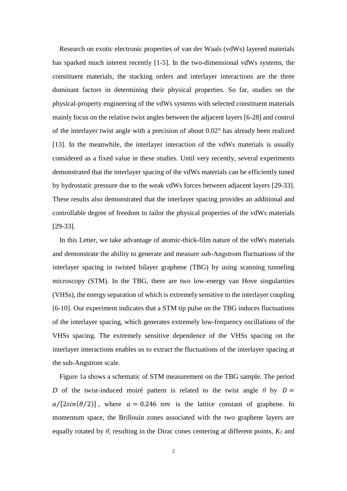Research on exotic electronic properties of van der Waals (vdWs) layered materials has sparked much interest recently [1-5]. In the two-dimensional vdWs systems, the constituent materials, the stacking orders and interlayer interactions are the three dominant factors in determining their physical properties. So far, studies on the physical-property engineering of the vdWs systems with selected constituent materials mainly focus on the relative twist angles between the adjacent layers [6-28] and control of the interlayer twist angle with a precision of about 0.02°has already been realized [13]. In the meanwhile, the interlayer interaction of the vdWs materials is usually considered as a fixed value in these studies. Until very recently, several experiments demonstrated that the interlayer spacing of the vdWs materials can be efficiently tuned by hydrostatic pressure due to the weak vdWs forces between adjacent layers [29-33]. These results also demonstrated that the interlayer spacing provides an additional and controllable degree of freedom to tailor the physical properties of the vdWs materials [29-33].

In this Letter, we take advantage of atomic-thick-film nature of the vdWs materials and demonstrate the ability to generate and measure sub-Angstrom fluctuations of the interlayer spacing in twisted bilayer graphene (TBG) by using scanning tunneling microscopy (STM). In the TBG, there are two low-energy van Hove singularities (VHSs), the energy separation of which is extremely sensitive to the interlayer coupling [6-10]. Our experiment indicates that a STM tip pulse on the TBG induces fluctuations of the interlayer spacing, which generates extremely low-frequency oscillations of the VHSs spacing. The extremely sensitive dependence of the VHSs spacing on the interlayer interactions enables us to extract the fluctuations of the interlayer spacing at the sub-Angstrom scale.

Figure 1a shows a schematic of STM measurement on the TBG sample. The period *D* of the twist-induced moiré pattern is related to the twist angle  $\theta$  by  $D =$  $a/[2\sin(\theta/2)]$ , where  $a = 0.246$  *nm* is the lattice constant of graphene. In momentum space, the Brillouin zones associated with the two graphene layers are equally rotated by  $\theta$ , resulting in the Dirac cones centering at different points,  $K_l$  and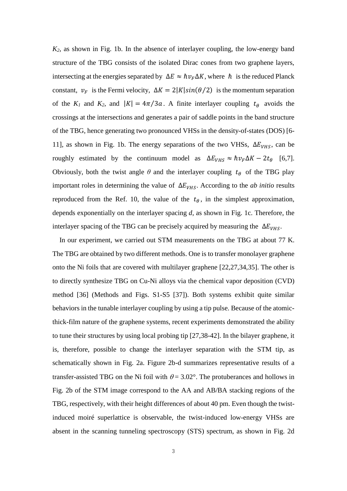*K2*, as shown in Fig. 1b. In the absence of interlayer coupling, the low-energy band structure of the TBG consists of the isolated Dirac cones from two graphene layers, intersecting at the energies separated by  $\Delta E \approx \hbar v_F \Delta K$ , where  $\hbar$  is the reduced Planck constant,  $v_F$  is the Fermi velocity,  $\Delta K = 2|K|\sin(\theta/2)$  is the momentum separation of the  $K_I$  and  $K_2$ , and  $|K| = 4\pi/3a$ . A finite interlayer coupling  $t_\theta$  avoids the crossings at the intersections and generates a pair of saddle points in the band structure of the TBG, hence generating two pronounced VHSs in the density-of-states (DOS) [6- 11], as shown in Fig. 1b. The energy separations of the two VHSs,  $\Delta E_{VHS}$ , can be roughly estimated by the continuum model as  $\Delta E_{VHS} \approx \hbar v_F \Delta K - 2t_\theta$  [6,7]. Obviously, both the twist angle  $\theta$  and the interlayer coupling  $t_{\theta}$  of the TBG play important roles in determining the value of  $\Delta E_{VHS}$ . According to the *ab initio* results reproduced from the Ref. 10, the value of the  $t_{\theta}$ , in the simplest approximation, depends exponentially on the interlayer spacing *d*, as shown in Fig. 1c. Therefore, the interlayer spacing of the TBG can be precisely acquired by measuring the  $\Delta E_{VHS}$ .

In our experiment, we carried out STM measurements on the TBG at about 77 K. The TBG are obtained by two different methods. One is to transfer monolayer graphene onto the Ni foils that are covered with multilayer graphene [22,27,34,35]. The other is to directly synthesize TBG on Cu-Ni alloys via the chemical vapor deposition (CVD) method [36] (Methods and Figs. S1-S5 [37]). Both systems exhibit quite similar behaviors in the tunable interlayer coupling by using a tip pulse. Because of the atomicthick-film nature of the graphene systems, recent experiments demonstrated the ability to tune their structures by using local probing tip [27,38-42]. In the bilayer graphene, it is, therefore, possible to change the interlayer separation with the STM tip, as schematically shown in Fig. 2a. Figure 2b-d summarizes representative results of a transfer-assisted TBG on the Ni foil with  $\theta = 3.02$  °. The protuberances and hollows in Fig. 2b of the STM image correspond to the AA and AB/BA stacking regions of the TBG, respectively, with their height differences of about 40 pm. Even though the twistinduced moiré superlattice is observable, the twist-induced low-energy VHSs are absent in the scanning tunneling spectroscopy (STS) spectrum, as shown in Fig. 2d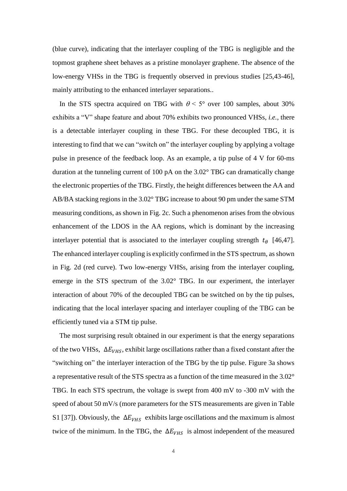(blue curve), indicating that the interlayer coupling of the TBG is negligible and the topmost graphene sheet behaves as a pristine monolayer graphene. The absence of the low-energy VHSs in the TBG is frequently observed in previous studies [25,43-46], mainly attributing to the enhanced interlayer separations..

In the STS spectra acquired on TBG with  $\theta$  < 5° over 100 samples, about 30% exhibits a "V" shape feature and about 70% exhibits two pronounced VHSs, *i.e.*, there is a detectable interlayer coupling in these TBG. For these decoupled TBG, it is interesting to find that we can "switch on" the interlayer coupling by applying a voltage pulse in presence of the feedback loop. As an example, a tip pulse of 4 V for 60-ms duration at the tunneling current of 100 pA on the 3.02° TBG can dramatically change the electronic properties of the TBG. Firstly, the height differences between the AA and AB/BA stacking regions in the 3.02° TBG increase to about 90 pm under the same STM measuring conditions, as shown in Fig. 2c. Such a phenomenon arises from the obvious enhancement of the LDOS in the AA regions, which is dominant by the increasing interlayer potential that is associated to the interlayer coupling strength  $t_{\theta}$  [46,47]. The enhanced interlayer coupling is explicitly confirmed in the STS spectrum, as shown in Fig. 2d (red curve). Two low-energy VHSs, arising from the interlayer coupling, emerge in the STS spectrum of the 3.02° TBG. In our experiment, the interlayer interaction of about 70% of the decoupled TBG can be switched on by the tip pulses, indicating that the local interlayer spacing and interlayer coupling of the TBG can be efficiently tuned via a STM tip pulse.

The most surprising result obtained in our experiment is that the energy separations of the two VHSs,  $\Delta E_{VHS}$ , exhibit large oscillations rather than a fixed constant after the "switching on" the interlayer interaction of the TBG by the tip pulse. Figure 3a shows a representative result of the STS spectra as a function of the time measured in the 3.02° TBG. In each STS spectrum, the voltage is swept from 400 mV to -300 mV with the speed of about 50 mV/s (more parameters for the STS measurements are given in Table S1 [37]). Obviously, the  $\Delta E_{VHS}$  exhibits large oscillations and the maximum is almost twice of the minimum. In the TBG, the  $\Delta E_{VHS}$  is almost independent of the measured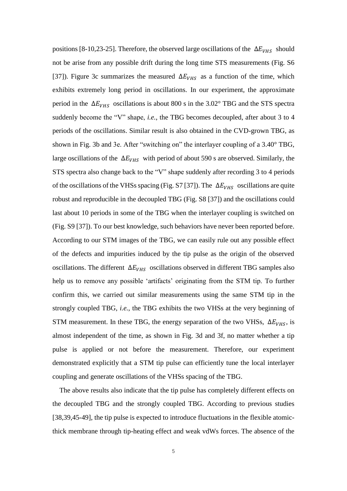positions [8-10,23-25]. Therefore, the observed large oscillations of the  $\Delta E_{VHS}$  should not be arise from any possible drift during the long time STS measurements (Fig. S6 [37]). Figure 3c summarizes the measured  $\Delta E_{VHS}$  as a function of the time, which exhibits extremely long period in oscillations. In our experiment, the approximate period in the  $\Delta E_{VHS}$  oscillations is about 800 s in the 3.02°TBG and the STS spectra suddenly become the "V" shape, *i.e.*, the TBG becomes decoupled, after about 3 to 4 periods of the oscillations. Similar result is also obtained in the CVD-grown TBG, as shown in Fig. 3b and 3e. After "switching on" the interlayer coupling of a 3.40° TBG, large oscillations of the  $\Delta E_{VHS}$  with period of about 590 s are observed. Similarly, the STS spectra also change back to the "V" shape suddenly after recording 3 to 4 periods of the oscillations of the VHSs spacing (Fig. S7 [37]). The  $\Delta E_{VHS}$  oscillations are quite robust and reproducible in the decoupled TBG (Fig. S8 [37]) and the oscillations could last about 10 periods in some of the TBG when the interlayer coupling is switched on (Fig. S9 [37]). To our best knowledge, such behaviors have never been reported before. According to our STM images of the TBG, we can easily rule out any possible effect of the defects and impurities induced by the tip pulse as the origin of the observed oscillations. The different  $\Delta E_{VHS}$  oscillations observed in different TBG samples also help us to remove any possible 'artifacts' originating from the STM tip. To further confirm this, we carried out similar measurements using the same STM tip in the strongly coupled TBG, *i.e.*, the TBG exhibits the two VHSs at the very beginning of STM measurement. In these TBG, the energy separation of the two VHSs,  $\Delta E_{VHS}$ , is almost independent of the time, as shown in Fig. 3d and 3f, no matter whether a tip pulse is applied or not before the measurement. Therefore, our experiment demonstrated explicitly that a STM tip pulse can efficiently tune the local interlayer coupling and generate oscillations of the VHSs spacing of the TBG.

The above results also indicate that the tip pulse has completely different effects on the decoupled TBG and the strongly coupled TBG. According to previous studies [38,39,45-49], the tip pulse is expected to introduce fluctuations in the flexible atomicthick membrane through tip-heating effect and weak vdWs forces. The absence of the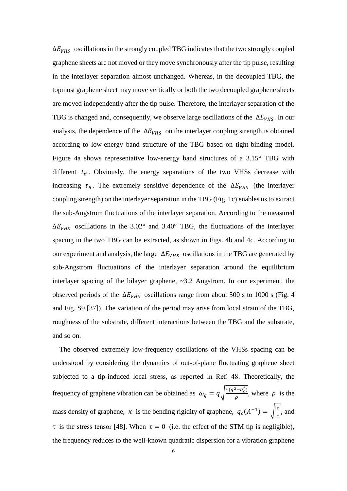$\Delta E_{VHS}$  oscillations in the strongly coupled TBG indicates that the two strongly coupled graphene sheets are not moved or they move synchronously after the tip pulse, resulting in the interlayer separation almost unchanged. Whereas, in the decoupled TBG, the topmost graphene sheet may move vertically or both the two decoupled graphene sheets are moved independently after the tip pulse. Therefore, the interlayer separation of the TBG is changed and, consequently, we observe large oscillations of the  $\Delta E_{VHS}$ . In our analysis, the dependence of the  $\Delta E_{VHS}$  on the interlayer coupling strength is obtained according to low-energy band structure of the TBG based on tight-binding model. Figure 4a shows representative low-energy band structures of a 3.15° TBG with different  $t_{\theta}$ . Obviously, the energy separations of the two VHSs decrease with increasing  $t_{\theta}$ . The extremely sensitive dependence of the  $\Delta E_{VHS}$  (the interlayer coupling strength) on the interlayer separation in the TBG (Fig. 1c) enables us to extract the sub-Angstrom fluctuations of the interlayer separation. According to the measured  $\Delta E_{VHS}$  oscillations in the 3.02° and 3.40° TBG, the fluctuations of the interlayer spacing in the two TBG can be extracted, as shown in Figs. 4b and 4c. According to our experiment and analysis, the large  $\Delta E_{VHS}$  oscillations in the TBG are generated by sub-Angstrom fluctuations of the interlayer separation around the equilibrium interlayer spacing of the bilayer graphene, ~3.2 Angstrom. In our experiment, the observed periods of the  $\Delta E_{VHS}$  oscillations range from about 500 s to 1000 s (Fig. 4 and Fig. S9 [37]). The variation of the period may arise from local strain of the TBG, roughness of the substrate, different interactions between the TBG and the substrate, and so on.

The observed extremely low-frequency oscillations of the VHSs spacing can be understood by considering the dynamics of out-of-plane fluctuating graphene sheet subjected to a tip-induced local stress, as reported in Ref. 48. Theoretically, the frequency of graphene vibration can be obtained as  $\omega_q = q \sqrt{\frac{\kappa(q^2 - q_c^2)}{q}}$  $\frac{-q_c}{\rho}$ , where  $\rho$  is the mass density of graphene,  $\kappa$  is the bending rigidity of graphene,  $q_c(A^{-1}) = \sqrt{\frac{|\tau|}{\kappa}}$  $\frac{\mu}{\kappa}$ , and τ is the stress tensor [48]. When τ = 0 (i.e. the effect of the STM tip is negligible), the frequency reduces to the well-known quadratic dispersion for a vibration graphene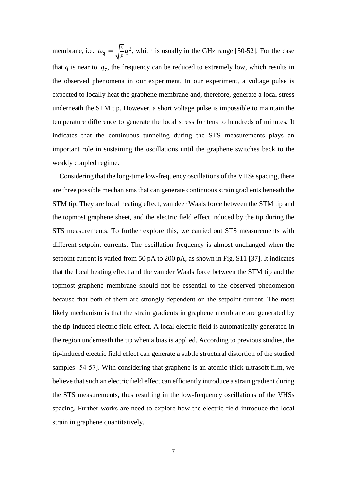membrane, i.e.  $\omega_q = \sqrt{\frac{\kappa}{g}}$  $\frac{\kappa}{\rho}q^2$ , which is usually in the GHz range [50-52]. For the case that  $q$  is near to  $q_c$ , the frequency can be reduced to extremely low, which results in the observed phenomena in our experiment. In our experiment, a voltage pulse is expected to locally heat the graphene membrane and, therefore, generate a local stress underneath the STM tip. However, a short voltage pulse is impossible to maintain the temperature difference to generate the local stress for tens to hundreds of minutes. It indicates that the continuous tunneling during the STS measurements plays an important role in sustaining the oscillations until the graphene switches back to the weakly coupled regime.

Considering that the long-time low-frequency oscillations of the VHSs spacing, there are three possible mechanisms that can generate continuous strain gradients beneath the STM tip. They are local heating effect, van deer Waals force between the STM tip and the topmost graphene sheet, and the electric field effect induced by the tip during the STS measurements. To further explore this, we carried out STS measurements with different setpoint currents. The oscillation frequency is almost unchanged when the setpoint current is varied from 50 pA to 200 pA, as shown in Fig. S11 [37]. It indicates that the local heating effect and the van der Waals force between the STM tip and the topmost graphene membrane should not be essential to the observed phenomenon because that both of them are strongly dependent on the setpoint current. The most likely mechanism is that the strain gradients in graphene membrane are generated by the tip-induced electric field effect. A local electric field is automatically generated in the region underneath the tip when a bias is applied. According to previous studies, the tip-induced electric field effect can generate a subtle structural distortion of the studied samples [54-57]. With considering that graphene is an atomic-thick ultrasoft film, we believe that such an electric field effect can efficiently introduce a strain gradient during the STS measurements, thus resulting in the low-frequency oscillations of the VHSs spacing. Further works are need to explore how the electric field introduce the local strain in graphene quantitatively.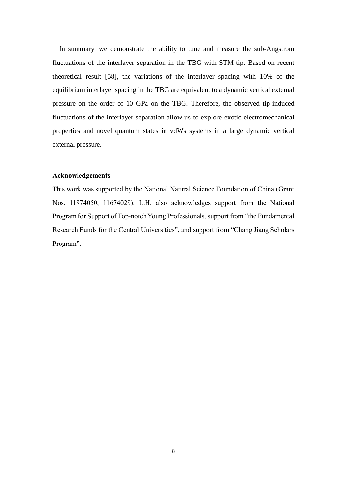In summary, we demonstrate the ability to tune and measure the sub-Angstrom fluctuations of the interlayer separation in the TBG with STM tip. Based on recent theoretical result [58], the variations of the interlayer spacing with 10% of the equilibrium interlayer spacing in the TBG are equivalent to a dynamic vertical external pressure on the order of 10 GPa on the TBG. Therefore, the observed tip-induced fluctuations of the interlayer separation allow us to explore exotic electromechanical properties and novel quantum states in vdWs systems in a large dynamic vertical external pressure.

## **Acknowledgements**

This work was supported by the National Natural Science Foundation of China (Grant Nos. 11974050, 11674029). L.H. also acknowledges support from the National Program for Support of Top-notch Young Professionals, support from "the Fundamental Research Funds for the Central Universities", and support from "Chang Jiang Scholars Program".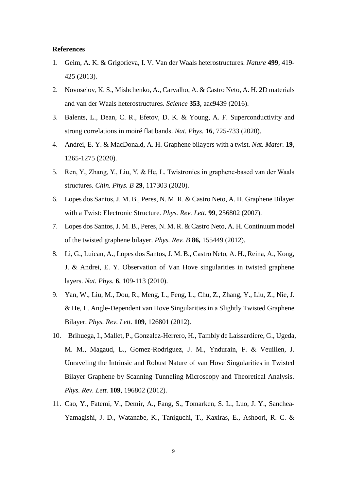## **References**

- 1. Geim, A. K. & Grigorieva, I. V. Van der Waals heterostructures. *Nature* **499**, 419- 425 (2013).
- 2. Novoselov, K. S., Mishchenko, A., Carvalho, A. & Castro Neto, A. H. 2D materials and van der Waals heterostructures. *Science* **353**, aac9439 (2016).
- 3. Balents, L., Dean, C. R., Efetov, D. K. & Young, A. F. Superconductivity and strong correlations in moiré flat bands. *Nat. Phys.* **16**, 725-733 (2020).
- 4. Andrei, E. Y. & MacDonald, A. H. Graphene bilayers with a twist. *Nat. Mater.* **19**, 1265-1275 (2020).
- 5. Ren, Y., Zhang, Y., Liu, Y. & He, L. Twistronics in graphene-based van der Waals structures. *Chin. Phys. B* **29**, 117303 (2020).
- 6. Lopes dos Santos, J. M. B., Peres, N. M. R. & Castro Neto, A. H. Graphene Bilayer with a Twist: Electronic Structure. *Phys. Rev. Lett.* **99**, 256802 (2007).
- 7. Lopes dos Santos, J. M. B., Peres, N. M. R. & Castro Neto, A. H. Continuum model of the twisted graphene bilayer. *Phys. Rev. B* **86,** 155449 (2012).
- 8. Li, G., Luican, A., Lopes dos Santos, J. M. B., Castro Neto, A. H., Reina, A., Kong, J. & Andrei, E. Y. Observation of Van Hove singularities in twisted graphene layers. *Nat. Phys.* **6**, 109-113 (2010).
- 9. Yan, W., Liu, M., Dou, R., Meng, L., Feng, L., Chu, Z., Zhang, Y., Liu, Z., Nie, J. & He, L. Angle-Dependent van Hove Singularities in a Slightly Twisted Graphene Bilayer. *Phys. Rev. Lett.* **109**, 126801 (2012).
- 10. Brihuega, I., Mallet, P., Gonzalez-Herrero, H., Tambly de Laissardiere, G., Ugeda, M. M., Magaud, L., Gomez-Rodriguez, J. M., Yndurain, F. & Veuillen, J. Unraveling the Intrinsic and Robust Nature of van Hove Singularities in Twisted Bilayer Graphene by Scanning Tunneling Microscopy and Theoretical Analysis. *Phys. Rev. Lett.* **109**, 196802 (2012).
- 11. Cao, Y., Fatemi, V., Demir, A., Fang, S., Tomarken, S. L., Luo, J. Y., Sanchea-Yamagishi, J. D., Watanabe, K., Taniguchi, T., Kaxiras, E., Ashoori, R. C. &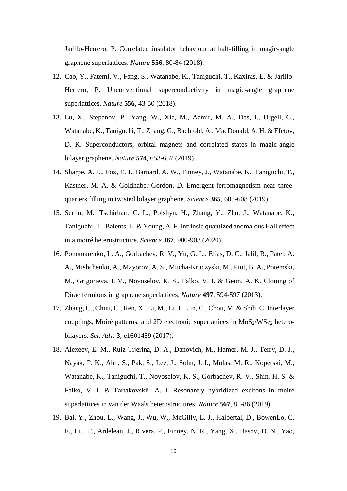Jarillo-Herrero, P. Correlated insulator behaviour at half-filling in magic-angle graphene superlattices. *Nature* **556**, 80-84 (2018).

- 12. Cao, Y., Fatemi, V., Fang, S., Watanabe, K., Taniguchi, T., Kaxiras, E. & Jarillo-Herrero, P. Unconventional superconductivity in magic-angle graphene superlattices. *Nature* **556**, 43-50 (2018).
- 13. Lu, X., Stepanov, P., Yang, W., Xie, M., Aamir, M. A., Das, I., Urgell, C., Watanabe, K., Taniguchi, T., Zhang, G., Bachtold, A., MacDonald, A. H. & Efetov, D. K. Superconductors, orbital magnets and correlated states in magic-angle bilayer graphene. *Nature* **574**, 653-657 (2019).
- 14. Sharpe, A. L., Fox, E. J., Barnard, A. W., Finney, J., Watanabe, K., Taniguchi, T., Kastner, M. A. & Goldhaber-Gordon, D. Emergent ferromagnetism near threequarters filling in twisted bilayer graphene. *Science* **365**, 605-608 (2019).
- 15. Serlin, M., Tschirhart, C. L., Polshyn, H., Zhang, Y., Zhu, J., Watanabe, K., Taniguchi, T., Balents, L. & Young, A. F. Intrinsic quantized anomalous Hall effect in a moiré heterostructure. *Science* **367**, 900-903 (2020).
- 16. Ponomarenko, L. A., Gorbachev, R. V., Yu, G. L., Elias, D. C., Jalil, R., Patel, A. A., Mishchenko, A., Mayorov, A. S., Mucha-Kruczyski, M., Piot, B. A., Potemski, M., Grigorieva, I. V., Novoselov, K. S., Falko, V. I. & Geim, A. K. Cloning of Dirac fermions in graphene superlattices. *Nature* **497**, 594-597 (2013).
- 17. Zhang, C., Chuu, C., Ren, X., Li, M., Li, L., Jin, C., Chou, M. & Shih, C. Interlayer couplings, Moir é patterns, and 2D electronic superlattices in  $MoS<sub>2</sub>/WSe<sub>2</sub>$  heterobilayers. *Sci. Adv.* **3**, e1601459 (2017).
- 18. Alexeev, E. M., Ruiz-Tijerina, D. A., Danovich, M., Hamer, M. J., Terry, D. J., Nayak, P. K., Ahn, S., Pak, S., Lee, J., Sohn, J. I., Molas, M. R., Koperski, M., Watanabe, K., Taniguchi, T., Novoselov, K. S., Gorbachev, R. V., Shin, H. S. & Falko, V. I. & Tartakovskii, A. I. Resonantly hybridized excitons in moiré superlattices in van der Waals heterostructures. *Nature* **567**, 81-86 (2019).
- 19. Bai, Y., Zhou, L., Wang, J., Wu, W., McGilly, L. J., Halbertal, D., BowenLo, C. F., Liu, F., Ardelean, J., Rivera, P., Finney, N. R., Yang, X., Basov, D. N., Yao,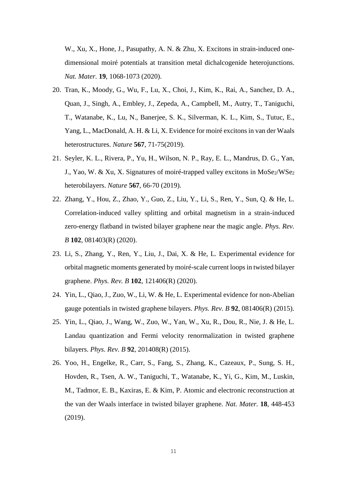W., Xu, X., Hone, J., Pasupathy, A. N. & Zhu, X. Excitons in strain-induced onedimensional moiré potentials at transition metal dichalcogenide heterojunctions. *Nat. Mater.* **19**, 1068-1073 (2020).

- 20. Tran, K., Moody, G., Wu, F., Lu, X., Choi, J., Kim, K., Rai, A., Sanchez, D. A., Quan, J., Singh, A., Embley, J., Zepeda, A., Campbell, M., Autry, T., Taniguchi, T., Watanabe, K., Lu, N., Banerjee, S. K., Silverman, K. L., Kim, S., Tutuc, E., Yang, L., MacDonald, A. H. & Li, X. Evidence for moiré excitons in van der Waals heterostructures. *Nature* **567**, 71-75(2019).
- 21. Seyler, K. L., Rivera, P., Yu, H., Wilson, N. P., Ray, E. L., Mandrus, D. G., Yan, J., Yao, W. & Xu, X. Signatures of moir étrapped valley excitons in MoSe<sub>2</sub>/WSe<sub>2</sub> heterobilayers. *Nature* **567**, 66-70 (2019).
- 22. Zhang, Y., Hou, Z., Zhao, Y., Guo, Z., Liu, Y., Li, S., Ren, Y., Sun, Q. & He, L. Correlation-induced valley splitting and orbital magnetism in a strain-induced zero-energy flatband in twisted bilayer graphene near the magic angle. *Phys. Rev. B* **102**, 081403(R) (2020).
- 23. Li, S., Zhang, Y., Ren, Y., Liu, J., Dai, X. & He, L. Experimental evidence for orbital magnetic moments generated by moiré-scale current loops in twisted bilayer graphene. *Phys. Rev. B* **102**, 121406(R) (2020).
- 24. Yin, L., Qiao, J., Zuo, W., Li, W. & He, L. Experimental evidence for non-Abelian gauge potentials in twisted graphene bilayers. *Phys. Rev. B* **92**, 081406(R) (2015).
- 25. Yin, L., Qiao, J., Wang, W., Zuo, W., Yan, W., Xu, R., Dou, R., Nie, J. & He, L. Landau quantization and Fermi velocity renormalization in twisted graphene bilayers. *Phys. Rev. B* **92**, 201408(R) (2015).
- 26. Yoo, H., Engelke, R., Carr, S., Fang, S., Zhang, K., Cazeaux, P., Sung, S. H., Hovden, R., Tsen, A. W., Taniguchi, T., Watanabe, K., Yi, G., Kim, M., Luskin, M., Tadmor, E. B., Kaxiras, E. & Kim, P. Atomic and electronic reconstruction at the van der Waals interface in twisted bilayer graphene. *Nat. Mater.* **18**, 448-453 (2019).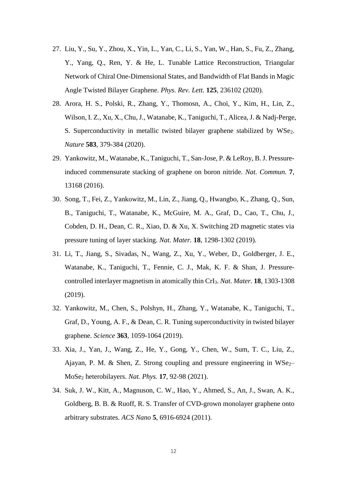- 27. Liu, Y., Su, Y., Zhou, X., Yin, L., Yan, C., Li, S., Yan, W., Han, S., Fu, Z., Zhang, Y., Yang, Q., Ren, Y. & He, L. Tunable Lattice Reconstruction, Triangular Network of Chiral One-Dimensional States, and Bandwidth of Flat Bands in Magic Angle Twisted Bilayer Graphene. *Phys. Rev. Lett.* **125**, 236102 (2020).
- 28. Arora, H. S., Polski, R., Zhang, Y., Thomosn, A., Choi, Y., Kim, H., Lin, Z., Wilson, I. Z., Xu, X., Chu, J., Watanabe, K., Taniguchi, T., Alicea, J. & Nadj-Perge, S. Superconductivity in metallic twisted bilayer graphene stabilized by WSe<sub>2</sub>. *Nature* **583**, 379-384 (2020).
- 29. Yankowitz, M., Watanabe, K., Taniguchi, T., San-Jose, P. & LeRoy, B. J. Pressureinduced commensurate stacking of graphene on boron nitride. *Nat. Commun.* **7**, 13168 (2016).
- 30. Song, T., Fei, Z., Yankowitz, M., Lin, Z., Jiang, Q., Hwangbo, K., Zhang, Q., Sun, B., Taniguchi, T., Watanabe, K., McGuire, M. A., Graf, D., Cao, T., Chu, J., Cobden, D. H., Dean, C. R., Xiao, D. & Xu, X. Switching 2D magnetic states via pressure tuning of layer stacking. *Nat. Mater.* **18**, 1298-1302 (2019).
- 31. Li, T., Jiang, S., Sivadas, N., Wang, Z., Xu, Y., Weber, D., Goldberger, J. E., Watanabe, K., Taniguchi, T., Fennie, C. J., Mak, K. F. & Shan, J. Pressurecontrolled interlayer magnetism in atomically thin CrI3. *Nat. Mater.* **18**, 1303-1308 (2019).
- 32. Yankowitz, M., Chen, S., Polshyn, H., Zhang, Y., Watanabe, K., Taniguchi, T., Graf, D., Young, A. F., & Dean, C. R. Tuning superconductivity in twisted bilayer graphene. *Science* **363**, 1059-1064 (2019).
- 33. Xia, J., Yan, J., Wang, Z., He, Y., Gong, Y., Chen, W., Sum, T. C., Liu, Z., Ajayan, P. M. & Shen, Z. Strong coupling and pressure engineering in  $WSe<sub>2</sub>$ MoSe<sup>2</sup> heterobilayers. *Nat. Phys.* **17**, 92-98 (2021).
- 34. Suk, J. W., Kitt, A., Magnuson, C. W., Hao, Y., Ahmed, S., An, J., Swan, A. K., Goldberg, B. B. & Ruoff, R. S. Transfer of CVD-grown monolayer graphene onto arbitrary substrates. *ACS Nano* **5**, 6916-6924 (2011).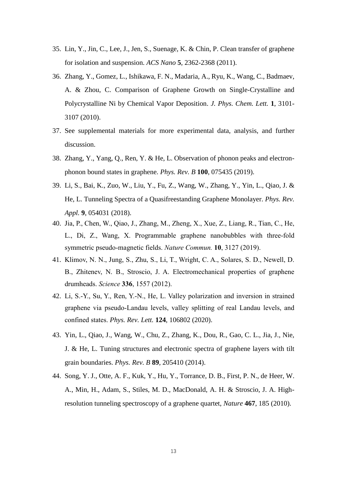- 35. Lin, Y., Jin, C., Lee, J., Jen, S., Suenage, K. & Chin, P. Clean transfer of graphene for isolation and suspension. *ACS Nano* **5**, 2362-2368 (2011).
- 36. Zhang, Y., Gomez, L., Ishikawa, F. N., Madaria, A., Ryu, K., Wang, C., Badmaev, A. & Zhou, C. Comparison of Graphene Growth on Single-Crystalline and Polycrystalline Ni by Chemical Vapor Deposition. *J. Phys. Chem. Lett.* **1**, 3101- 3107 (2010).
- 37. See supplemental materials for more experimental data, analysis, and further discussion.
- 38. Zhang, Y., Yang, Q., Ren, Y. & He, L. Observation of phonon peaks and electronphonon bound states in graphene. *Phys. Rev. B* **100**, 075435 (2019).
- 39. Li, S., Bai, K., Zuo, W., Liu, Y., Fu, Z., Wang, W., Zhang, Y., Yin, L., Qiao, J. & He, L. Tunneling Spectra of a Quasifreestanding Graphene Monolayer. *Phys. Rev. Appl.* **9**, 054031 (2018).
- 40. Jia, P., Chen, W., Qiao, J., Zhang, M., Zheng, X., Xue, Z., Liang, R., Tian, C., He, L., Di, Z., Wang, X. Programmable graphene nanobubbles with three-fold symmetric pseudo-magnetic fields. *Nature Commun.* **10**, 3127 (2019).
- 41. Klimov, N. N., Jung, S., Zhu, S., Li, T., Wright, C. A., Solares, S. D., Newell, D. B., Zhitenev, N. B., Stroscio, J. A. Electromechanical properties of graphene drumheads. *Science* **336**, 1557 (2012).
- 42. Li, S.-Y., Su, Y., Ren, Y.-N., He, L. Valley polarization and inversion in strained graphene via pseudo-Landau levels, valley splitting of real Landau levels, and confined states. *Phys. Rev. Lett.* **124**, 106802 (2020).
- 43. Yin, L., Qiao, J., Wang, W., Chu, Z., Zhang, K., Dou, R., Gao, C. L., Jia, J., Nie, J. & He, L. Tuning structures and electronic spectra of graphene layers with tilt grain boundaries. *Phys. Rev. B* **89**, 205410 (2014).
- 44. Song, Y. J., Otte, A. F., Kuk, Y., Hu, Y., Torrance, D. B., First, P. N., de Heer, W. A., Min, H., Adam, S., Stiles, M. D., MacDonald, A. H. & Stroscio, J. A. Highresolution tunneling spectroscopy of a graphene quartet, *Nature* **467**, 185 (2010).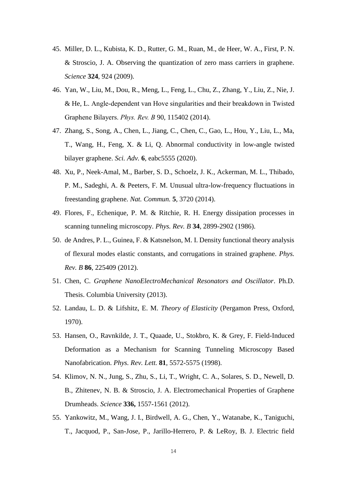- 45. Miller, D. L., Kubista, K. D., Rutter, G. M., Ruan, M., de Heer, W. A., First, P. N. & Stroscio, J. A. Observing the quantization of zero mass carriers in graphene. *Science* **324**, 924 (2009).
- 46. Yan, W., Liu, M., Dou, R., Meng, L., Feng, L., Chu, Z., Zhang, Y., Liu, Z., Nie, J. & He, L. Angle-dependent van Hove singularities and their breakdown in Twisted Graphene Bilayers. *Phys. Rev. B* 90, 115402 (2014).
- 47. Zhang, S., Song, A., Chen, L., Jiang, C., Chen, C., Gao, L., Hou, Y., Liu, L., Ma, T., Wang, H., Feng, X. & Li, Q. Abnormal conductivity in low-angle twisted bilayer graphene. *Sci. Adv.* **6**, eabc5555 (2020).
- 48. Xu, P., Neek-Amal, M., Barber, S. D., Schoelz, J. K., Ackerman, M. L., Thibado, P. M., Sadeghi, A. & Peeters, F. M. Unusual ultra-low-frequency fluctuations in freestanding graphene. *Nat. Commun.* **5**, 3720 (2014).
- 49. Flores, F., Echenique, P. M. & Ritchie, R. H. Energy dissipation processes in scanning tunneling microscopy. *Phys. Rev. B* **34**, 2899-2902 (1986).
- 50. de Andres, P. L., Guinea, F. & Katsnelson, M. I. Density functional theory analysis of flexural modes elastic constants, and corrugations in strained graphene. *Phys. Rev. B* **86**, 225409 (2012).
- 51. Chen, C. *Graphene NanoElectroMechanical Resonators and Oscillator*. Ph.D. Thesis. Columbia University (2013).
- 52. Landau, L. D. & Lifshitz, E. M. *Theory of Elasticity* (Pergamon Press, Oxford, 1970).
- 53. Hansen, O., Ravnkilde, J. T., Quaade, U., Stokbro, K. & Grey, F. Field-Induced Deformation as a Mechanism for Scanning Tunneling Microscopy Based Nanofabrication. *Phys. Rev. Lett.* **81**, 5572-5575 (1998).
- 54. Klimov, N. N., Jung, S., Zhu, S., Li, T., Wright, C. A., Solares, S. D., Newell, D. B., Zhitenev, N. B. & Stroscio, J. A. Electromechanical Properties of Graphene Drumheads. *Science* **336,** 1557-1561 (2012).
- 55. Yankowitz, M., Wang, J. I., Birdwell, A. G., Chen, Y., Watanabe, K., Taniguchi, T., Jacquod, P., San-Jose, P., Jarillo-Herrero, P. & LeRoy, B. J. Electric field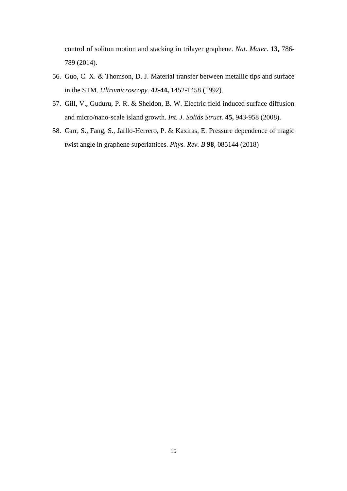control of soliton motion and stacking in trilayer graphene. *Nat. Mater.* **13,** 786- 789 (2014).

- 56. Guo, C. X. & Thomson, D. J. Material transfer between metallic tips and surface in the STM. *Ultramicroscopy.* **42-44,** 1452-1458 (1992).
- 57. Gill, V., Guduru, P. R. & Sheldon, B. W. Electric field induced surface diffusion and micro/nano-scale island growth. *Int. J. Solids Struct.* **45,** 943-958 (2008).
- 58. Carr, S., Fang, S., Jarllo-Herrero, P. & Kaxiras, E. Pressure dependence of magic twist angle in graphene superlattices. *Phys. Rev. B* **98**, 085144 (2018)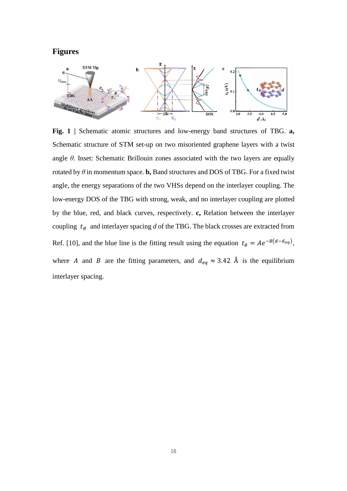## **Figures**



**Fig. 1 |** Schematic atomic structures and low-energy band structures of TBG. **a,** Schematic structure of STM set-up on two misoriented graphene layers with a twist angle *θ*. Inset: Schematic Brillouin zones associated with the two layers are equally rotated by  $\theta$  in momentum space. **b**, Band structures and DOS of TBG. For a fixed twist angle, the energy separations of the two VHSs depend on the interlayer coupling. The low-energy DOS of the TBG with strong, weak, and no interlayer coupling are plotted by the blue, red, and black curves, respectively. **c,** Relation between the interlayer coupling  $t_{\theta}$  and interlayer spacing *d* of the TBG. The black crosses are extracted from Ref. [10], and the blue line is the fitting result using the equation  $t_{\theta} = A e^{-B(d-d_{eq})}$ , where A and B are the fitting parameters, and  $d_{eq} \approx 3.42 \text{ Å}$  is the equilibrium interlayer spacing.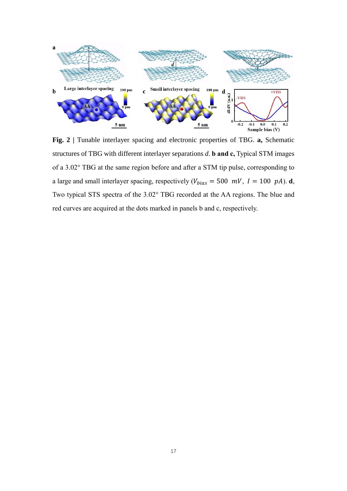

**Fig. 2 |** Tunable interlayer spacing and electronic properties of TBG. **a,** Schematic structures of TBG with different interlayer separations *d*. **b and c,** Typical STM images of a 3.02° TBG at the same region before and after a STM tip pulse, corresponding to a large and small interlayer spacing, respectively  $(V_{bias} = 500 \, mV, I = 100 \, pA)$ . **d**, Two typical STS spectra of the 3.02° TBG recorded at the AA regions. The blue and red curves are acquired at the dots marked in panels b and c, respectively.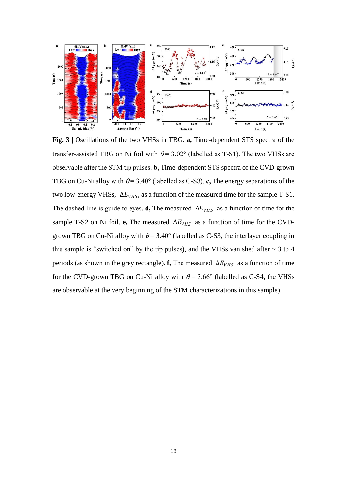

**Fig. 3 |** Oscillations of the two VHSs in TBG. **a,** Time-dependent STS spectra of the transfer-assisted TBG on Ni foil with  $\theta$  = 3.02° (labelled as T-S1). The two VHSs are observable after the STM tip pulses. **b,** Time-dependent STS spectra of the CVD-grown TBG on Cu-Ni alloy with  $\theta = 3.40^{\circ}$  (labelled as C-S3). **c**, The energy separations of the two low-energy VHSs,  $\Delta E_{VHS}$ , as a function of the measured time for the sample T-S1. The dashed line is guide to eyes. **d**, The measured  $\Delta E_{VHS}$  as a function of time for the sample T-S2 on Ni foil. **e**, The measured  $\Delta E_{VHS}$  as a function of time for the CVDgrown TBG on Cu-Ni alloy with  $\theta = 3.40^{\circ}$  (labelled as C-S3, the interlayer coupling in this sample is "switched on" by the tip pulses), and the VHSs vanished after  $\sim$  3 to 4 periods (as shown in the grey rectangle). **f**, The measured  $\Delta E_{VHS}$  as a function of time for the CVD-grown TBG on Cu-Ni alloy with  $\theta$  = 3.66° (labelled as C-S4, the VHSs are observable at the very beginning of the STM characterizations in this sample).